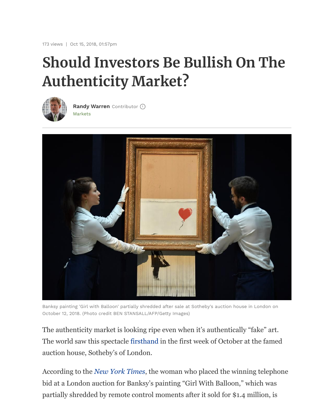173 views | Oct 15, 2018, 01:57pm

## **Should Investors Be Bullish On The Authenticity Market?**



[Markets](https://www.forbes.com/markets) **[Randy Warren](https://www.forbes.com/sites/randywarren/)** Contributor **<sup>i</sup>**



Banksy painting 'Girl with Balloon' partially shredded after sale at Sotheby's auction house in London on October 12, 2018. (Photo credit BEN STANSALL/AFP/Getty Images)

The authenticity market is looking ripe even when it's authentically "fake" art. The world saw this spectacle [firsthand](https://www.nytimes.com/aponline/2018/10/06/world/europe/ap-eu-britain-bansky.html) in the first week of October at the famed auction house, Sotheby's of London.

According to the *[New York Times](https://www.nytimes.com/2018/10/11/arts/design/winning-bidder-for-shredded-banksy-painting-says-shell-keep-it.html)*, the woman who placed the winning telephone bid at a London auction for Banksy's painting "Girl With Balloon," which was partially shredded by remote control moments after it sold for \$1.4 million, is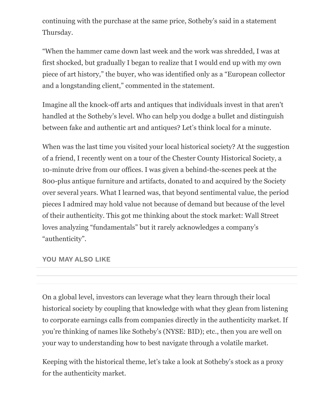continuing with the purchase at the same price, Sotheby's said in a statement Thursday.

"When the hammer came down last week and the work was shredded, I was at first shocked, but gradually I began to realize that I would end up with my own piece of art history," the buyer, who was identified only as a "European collector and a longstanding client," commented in the statement.

Imagine all the knock-off arts and antiques that individuals invest in that aren't handled at the Sotheby's level. Who can help you dodge a bullet and distinguish between fake and authentic art and antiques? Let's think local for a minute.

When was the last time you visited your local historical society? At the suggestion of a friend, I recently went on a tour of the Chester County Historical Society, a 10-minute drive from our offices. I was given a behind-the-scenes peek at the 800-plus antique furniture and artifacts, donated to and acquired by the Society over several years. What I learned was, that beyond sentimental value, the period pieces I admired may hold value not because of demand but because of the level of their authenticity. This got me thinking about the stock market: Wall Street loves analyzing "fundamentals" but it rarely acknowledges a company's "authenticity".

## **YOU MAY ALSO LIKE**

On a global level, investors can leverage what they learn through their local historical society by coupling that knowledge with what they glean from listening to corporate earnings calls from companies directly in the authenticity market. If you're thinking of names like Sotheby's (NYSE: BID); etc., then you are well on your way to understanding how to best navigate through a volatile market.

Keeping with the historical theme, let's take a look at Sotheby's stock as a proxy for the authenticity market.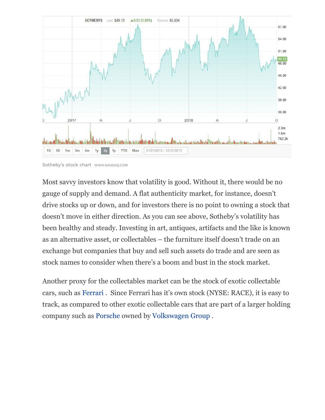

Sotheby's stock chart WWW.NASDAQ.COM

Most savvy investors know that volatility is good. Without it, there would be no gauge of supply and demand. A flat authenticity market, for instance, doesn't drive stocks up or down, and for investors there is no point to owning a stock that doesn't move in either direction. As you can see above, Sotheby's volatility has been healthy and steady. Investing in art, antiques, artifacts and the like is known as an alternative asset, or collectables – the furniture itself doesn't trade on an exchange but companies that buy and sell such assets do trade and are seen as stock names to consider when there's a boom and bust in the stock market.

Another proxy for the collectables market can be the stock of exotic collectable cars, such as [Ferrari](https://www.forbes.com/companies/ferrari/) . Since Ferrari has it's own stock (NYSE: RACE), it is easy to track, as compared to other exotic collectable cars that are part of a larger holding company such as [Porsche](https://www.forbes.com/companies/porsche/) owned by [Volkswagen Group](https://www.forbes.com/companies/volkswagen-group/) .